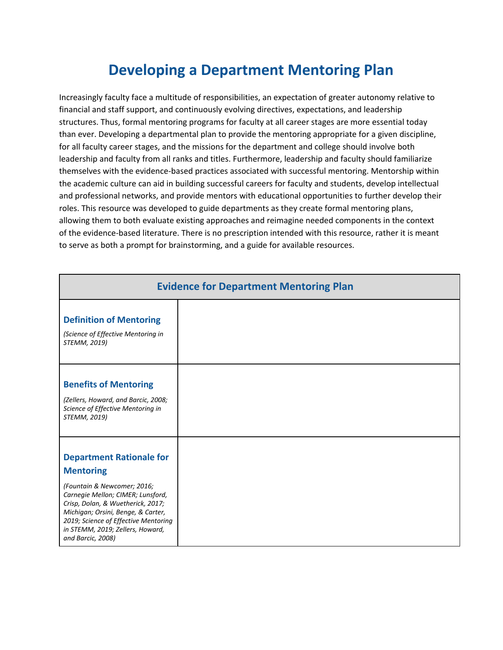## **Developing a Department Mentoring Plan**

Increasingly faculty face a multitude of responsibilities, an expectation of greater autonomy relative to financial and staff support, and continuously evolving directives, expectations, and leadership structures. Thus, formal mentoring programs for faculty at all career stages are more essential today than ever. Developing a departmental plan to provide the mentoring appropriate for a given discipline, for all faculty career stages, and the missions for the department and college should involve both leadership and faculty from all ranks and titles. Furthermore, leadership and faculty should familiarize themselves with the evidence-based practices associated with successful mentoring. Mentorship within the academic culture can aid in building successful careers for faculty and students, develop intellectual and professional networks, and provide mentors with educational opportunities to further develop their roles. This resource was developed to guide departments as they create formal mentoring plans, allowing them to both evaluate existing approaches and reimagine needed components in the context of the evidence-based literature. There is no prescription intended with this resource, rather it is meant to serve as both a prompt for brainstorming, and a guide for available resources.

| <b>Evidence for Department Mentoring Plan</b>                                                                                                                                                                                                                                                       |  |  |
|-----------------------------------------------------------------------------------------------------------------------------------------------------------------------------------------------------------------------------------------------------------------------------------------------------|--|--|
| <b>Definition of Mentoring</b><br>(Science of Effective Mentoring in<br>STEMM, 2019)                                                                                                                                                                                                                |  |  |
| <b>Benefits of Mentoring</b><br>(Zellers, Howard, and Barcic, 2008;<br>Science of Effective Mentoring in<br>STEMM, 2019)                                                                                                                                                                            |  |  |
| <b>Department Rationale for</b><br><b>Mentoring</b><br>(Fountain & Newcomer; 2016;<br>Carnegie Mellon; CIMER; Lunsford,<br>Crisp, Dolan, & Wuetherick, 2017;<br>Michigan; Orsini, Benge, & Carter,<br>2019; Science of Effective Mentoring<br>in STEMM, 2019; Zellers, Howard,<br>and Barcic, 2008) |  |  |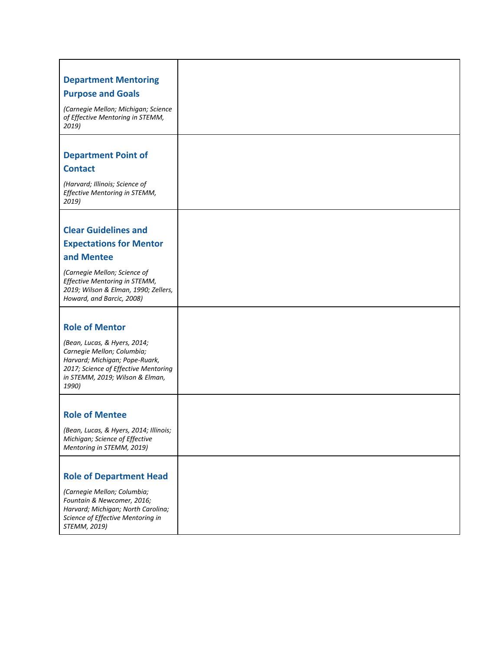| <b>Department Mentoring</b>                                                                                                                                                      |  |
|----------------------------------------------------------------------------------------------------------------------------------------------------------------------------------|--|
| <b>Purpose and Goals</b>                                                                                                                                                         |  |
| (Carnegie Mellon; Michigan; Science<br>of Effective Mentoring in STEMM,<br>2019)                                                                                                 |  |
|                                                                                                                                                                                  |  |
| <b>Department Point of</b>                                                                                                                                                       |  |
| <b>Contact</b>                                                                                                                                                                   |  |
| (Harvard; Illinois; Science of<br>Effective Mentoring in STEMM,<br>2019)                                                                                                         |  |
|                                                                                                                                                                                  |  |
| <b>Clear Guidelines and</b>                                                                                                                                                      |  |
| <b>Expectations for Mentor</b>                                                                                                                                                   |  |
| and Mentee                                                                                                                                                                       |  |
| (Carnegie Mellon; Science of<br>Effective Mentoring in STEMM,<br>2019; Wilson & Elman, 1990; Zellers,<br>Howard, and Barcic, 2008)                                               |  |
|                                                                                                                                                                                  |  |
| <b>Role of Mentor</b>                                                                                                                                                            |  |
| (Bean, Lucas, & Hyers, 2014;<br>Carnegie Mellon; Columbia;<br>Harvard; Michigan; Pope-Ruark,<br>2017; Science of Effective Mentoring<br>in STEMM, 2019; Wilson & Elman,<br>1990) |  |
|                                                                                                                                                                                  |  |
| <b>Role of Mentee</b>                                                                                                                                                            |  |
| (Bean, Lucas, & Hyers, 2014; Illinois;<br>Michigan; Science of Effective<br>Mentoring in STEMM, 2019)                                                                            |  |
|                                                                                                                                                                                  |  |
| <b>Role of Department Head</b>                                                                                                                                                   |  |
| (Carnegie Mellon; Columbia;<br>Fountain & Newcomer, 2016;<br>Harvard; Michigan; North Carolina;<br>Science of Effective Mentoring in<br>STEMM, 2019)                             |  |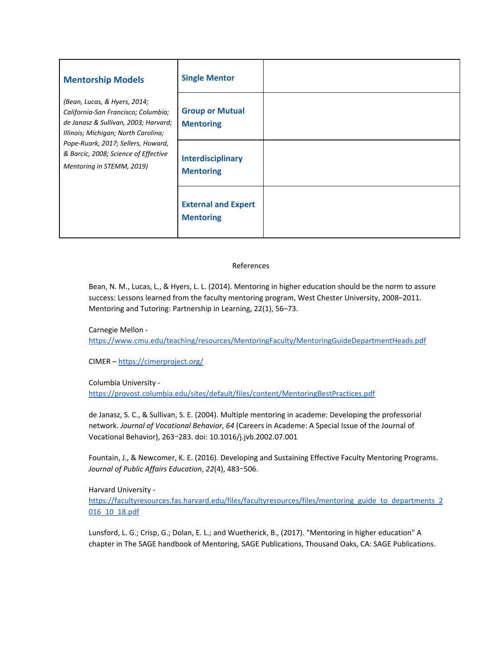| <b>Mentorship Models</b>                                                                                                                                                                                                                                      | <b>Single Mentor</b>                           |  |
|---------------------------------------------------------------------------------------------------------------------------------------------------------------------------------------------------------------------------------------------------------------|------------------------------------------------|--|
| (Bean, Lucas, & Hyers, 2014;<br>California-San Francisco; Columbia;<br>de Janasz & Sullivan, 2003; Harvard;<br>Illinois; Michigan; North Carolina;<br>Pope-Ruark, 2017; Sellers, Howard,<br>& Barcic, 2008; Science of Effective<br>Mentoring in STEMM, 2019) | <b>Group or Mutual</b><br><b>Mentoring</b>     |  |
|                                                                                                                                                                                                                                                               | <b>Interdisciplinary</b><br><b>Mentoring</b>   |  |
|                                                                                                                                                                                                                                                               | <b>External and Expert</b><br><b>Mentoring</b> |  |

## References

Bean, N. M., Lucas, L., & Hyers, L. L. (2014). Mentoring in higher education should be the norm to assure success: Lessons learned from the faculty mentoring program, West Chester University, 2008–2011. Mentoring and Tutoring: Partnership in Learning, 22(1), 56–73.

Carnegie Mellon  <https://www.cmu.edu/teaching/resources/MentoringFaculty/MentoringGuideDepartmentHeads.pdf>

CIMER – <https://cimerproject.org/>

Columbia University [-](https://provost.columbia.edu/sites/default/files/content/MentoringBestPractices.pdf)

<https://provost.columbia.edu/sites/default/files/content/MentoringBestPractices.pdf>

de Janasz, S. C., & Sullivan, S. E. (2004). Multiple mentoring in academe: Developing the professorial network. *Journal of Vocational Behavior*, *64* (Careers in Academe: A Special Issue of the Journal of Vocational Behavior), 263‒283. doi: 10.1016/j.jvb.2002.07.001

Fountain, J., & Newcomer, K. E. (2016). Developing and Sustaining Effective Faculty Mentoring Programs. *Journal of Public Affairs Education*, *22*(4), 483‒506.

Harvard University  [https://facultyresources.fas.harvard.edu/files/facultyresources/files/mentoring\\_guide\\_to\\_departments\\_2](https://facultyresources.fas.harvard.edu/files/facultyresources/files/mentoring_guide_to_departments_2016_10_18.pdf) [016\\_10\\_18.pdf](https://facultyresources.fas.harvard.edu/files/facultyresources/files/mentoring_guide_to_departments_2016_10_18.pdf)

Lunsford, L. G.; Crisp, G.; Dolan, E. L.; and Wuetherick, B., (2017). "Mentoring in higher education" A chapter in The SAGE handbook of Mentoring, SAGE Publications, Thousand Oaks, CA: SAGE Publications.